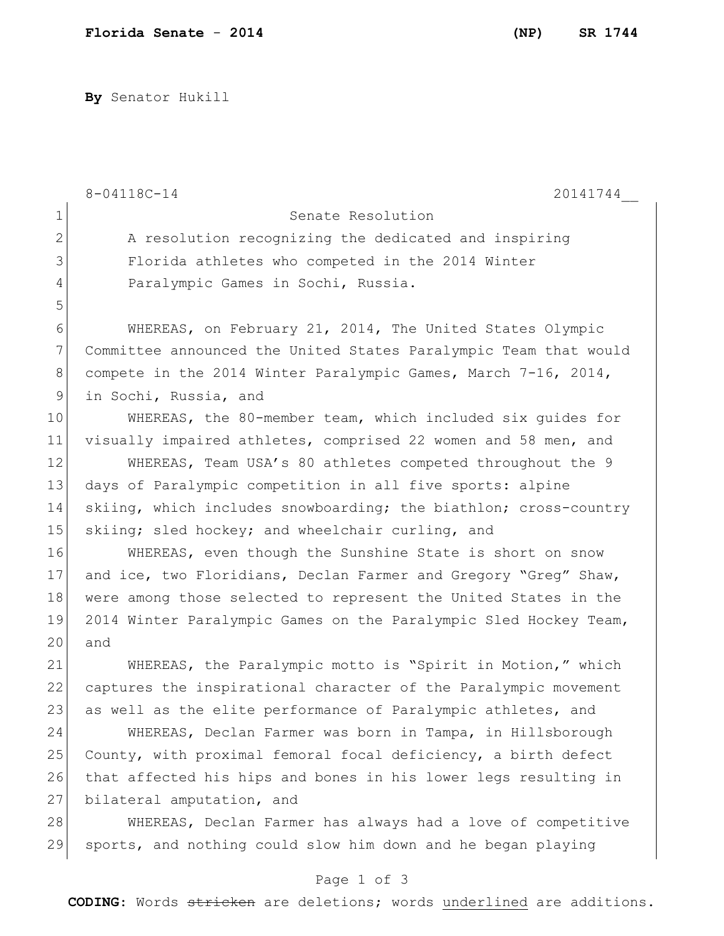**By** Senator Hukill

|                 | 8-04118C-14<br>20141744                                          |
|-----------------|------------------------------------------------------------------|
| $\mathbf 1$     | Senate Resolution                                                |
| $\mathbf{2}$    | A resolution recognizing the dedicated and inspiring             |
| 3               | Florida athletes who competed in the 2014 Winter                 |
| 4               | Paralympic Games in Sochi, Russia.                               |
| 5               |                                                                  |
| 6               | WHEREAS, on February 21, 2014, The United States Olympic         |
| $7\phantom{.0}$ | Committee announced the United States Paralympic Team that would |
| $8\,$           | compete in the 2014 Winter Paralympic Games, March 7-16, 2014,   |
| $\mathsf{S}$    | in Sochi, Russia, and                                            |
| 10              | WHEREAS, the 80-member team, which included six quides for       |
| 11              | visually impaired athletes, comprised 22 women and 58 men, and   |
| 12              | WHEREAS, Team USA's 80 athletes competed throughout the 9        |
| 13              | days of Paralympic competition in all five sports: alpine        |
| 14              | skiing, which includes snowboarding; the biathlon; cross-country |
| 15              | skiing; sled hockey; and wheelchair curling, and                 |
| 16              | WHEREAS, even though the Sunshine State is short on snow         |
| 17              | and ice, two Floridians, Declan Farmer and Gregory "Greg" Shaw,  |
| 18              | were among those selected to represent the United States in the  |
| 19              | 2014 Winter Paralympic Games on the Paralympic Sled Hockey Team, |
| 20              | and                                                              |
| 21              | WHEREAS, the Paralympic motto is "Spirit in Motion," which       |
| 22              | captures the inspirational character of the Paralympic movement  |
| 23              | as well as the elite performance of Paralympic athletes, and     |
| 24              | WHEREAS, Declan Farmer was born in Tampa, in Hillsborough        |
| 25              | County, with proximal femoral focal deficiency, a birth defect   |
| 26              | that affected his hips and bones in his lower legs resulting in  |
| 27              | bilateral amputation, and                                        |
| 28              | WHEREAS, Declan Farmer has always had a love of competitive      |
| 29              | sports, and nothing could slow him down and he began playing     |
|                 | Page 1 of 3                                                      |

**CODING**: Words stricken are deletions; words underlined are additions.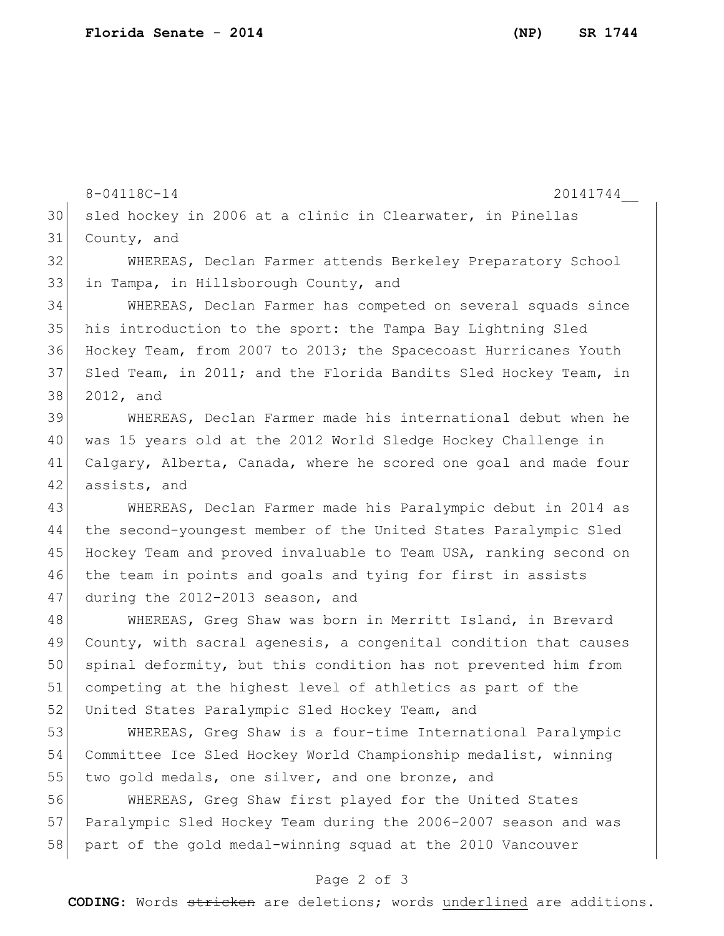8-04118C-14 20141744 30 sled hockey in 2006 at a clinic in Clearwater, in Pinellas County, and WHEREAS, Declan Farmer attends Berkeley Preparatory School in Tampa, in Hillsborough County, and WHEREAS, Declan Farmer has competed on several squads since his introduction to the sport: the Tampa Bay Lightning Sled Hockey Team, from 2007 to 2013; the Spacecoast Hurricanes Youth 37 Sled Team, in 2011; and the Florida Bandits Sled Hockey Team, in 2012, and WHEREAS, Declan Farmer made his international debut when he was 15 years old at the 2012 World Sledge Hockey Challenge in Calgary, Alberta, Canada, where he scored one goal and made four 42 assists, and WHEREAS, Declan Farmer made his Paralympic debut in 2014 as the second-youngest member of the United States Paralympic Sled 45 Hockey Team and proved invaluable to Team USA, ranking second on 46 the team in points and goals and tying for first in assists

47 during the 2012-2013 season, and

48 WHEREAS, Greg Shaw was born in Merritt Island, in Brevard 49 County, with sacral agenesis, a congenital condition that causes 50 spinal deformity, but this condition has not prevented him from 51 competing at the highest level of athletics as part of the 52 United States Paralympic Sled Hockey Team, and

53 WHEREAS, Greg Shaw is a four-time International Paralympic 54 Committee Ice Sled Hockey World Championship medalist, winning 55 two gold medals, one silver, and one bronze, and

56 WHEREAS, Greg Shaw first played for the United States 57 Paralympic Sled Hockey Team during the 2006-2007 season and was 58 part of the gold medal-winning squad at the 2010 Vancouver

## Page 2 of 3

**CODING**: Words stricken are deletions; words underlined are additions.